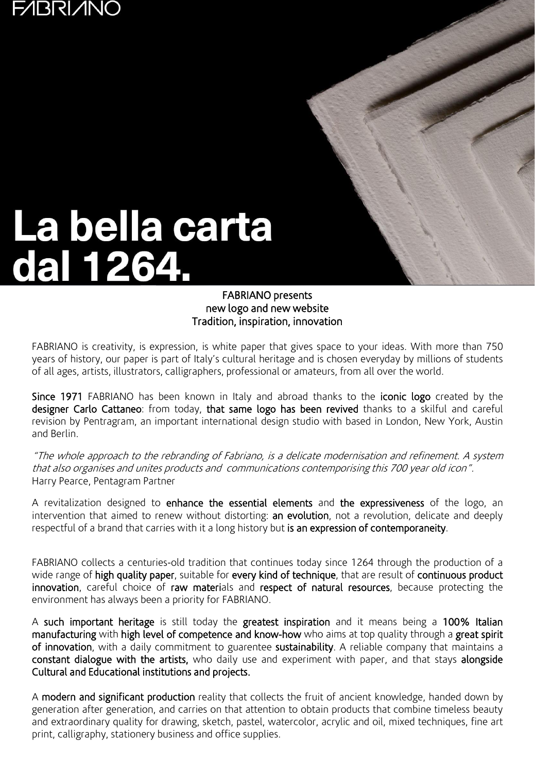# **F/IBRI/INO**



### FABRIANO presents new logo and new website Tradition, inspiration, innovation

FABRIANO is creativity, is expression, is white paper that gives space to your ideas. With more than 750 years of history, our paper is part of Italy's cultural heritage and is chosen everyday by millions of students of all ages, artists, illustrators, calligraphers, professional or amateurs, from all over the world.

Since 1971 FABRIANO has been known in Italy and abroad thanks to the iconic logo created by the designer Carlo Cattaneo: from today, that same logo has been revived thanks to a skilful and careful revision by Pentragram, an important international design studio with based in London, New York, Austin and Berlin.

"The whole approach to the rebranding of Fabriano, is <sup>a</sup> delicate modernisation and refinement. <sup>A</sup> system that also organises and unites products and communications contemporising this 700 year old icon". Harry Pearce, Pentagram Partner

A revitalization designed to enhance the essential elements and the expressiveness of the logo, an intervention that aimed to renew without distorting: an evolution, not a revolution, delicate and deeply respectful of a brand that carries with it a long history but is an expression of contemporaneity.

FABRIANO collects a centuries-old tradition that continues today since 1264 through the production of a wide range of high quality paper, suitable for every kind of technique, that are result of continuous product innovation, careful choice of raw materials and respect of natural resources, because protecting the environment has always been a priority for FABRIANO.

A such important heritage is still today the greatest inspiration and it means being a 100% Italian manufacturing with high level of competence and know-how who aims at top quality through a great spirit of innovation, with a daily commitment to guarentee sustainability. A reliable company that maintains a constant dialogue with the artists, who daily use and experiment with paper, and that stays alongside Cultural and Educational institutions and projects.

A modern and significant production reality that collects the fruit of ancient knowledge, handed down by generation after generation, and carries on that attention to obtain products that combine timeless beauty and extraordinary quality for drawing, sketch, pastel, watercolor, acrylic and oil, mixed techniques, fine art print, calligraphy, stationery business and office supplies.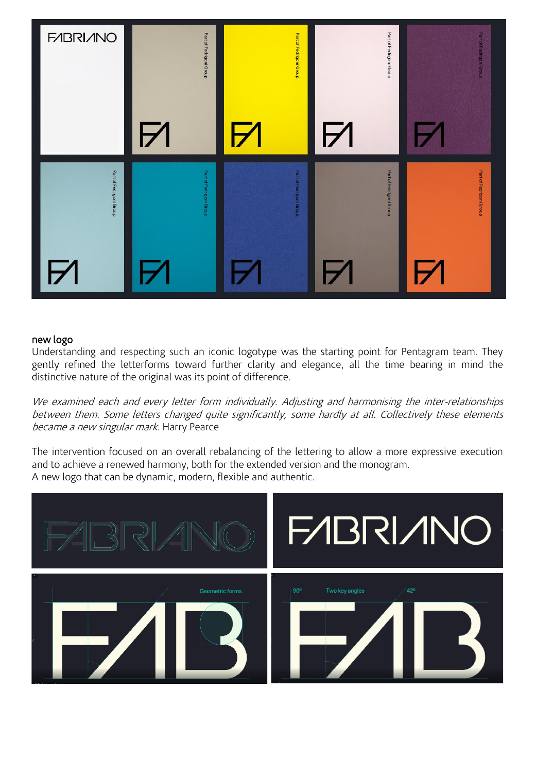

#### new logo

Understanding and respecting such an iconic logotype was the starting point for Pentagram team. They gently refined the letterforms toward further clarity and elegance, all the time bearing in mind the distinctive nature of the original was its point of difference.

We examined each and every letter form individually. Adjusting and harmonising the inter-relationships between them. Some letters changed quite significantly, some hardly at all. Collectively these elements became a new singular mark. Harry Pearce

The intervention focused on an overall rebalancing of the lettering to allow a more expressive execution and to achieve a renewed harmony, both for the extended version and the monogram. A new logo that can be dynamic, modern, flexible and authentic.